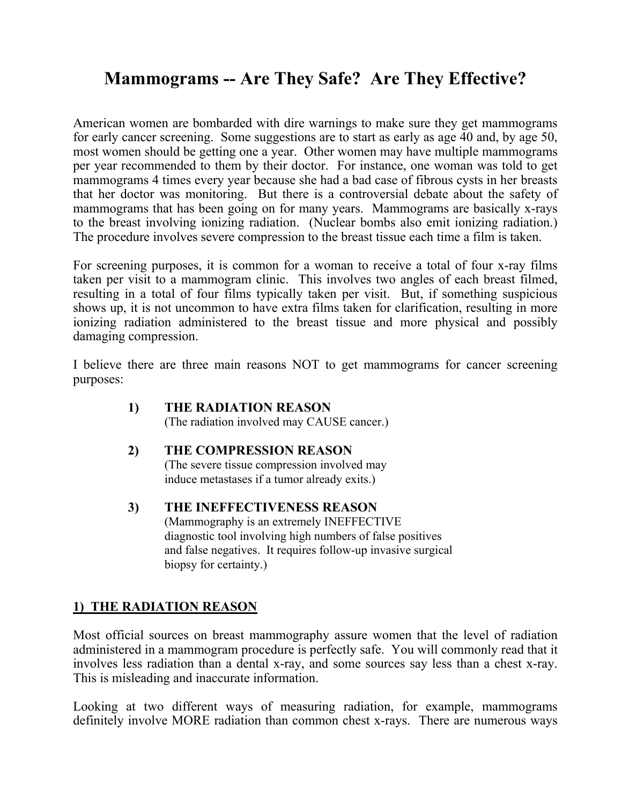# **Mammograms -- Are They Safe? Are They Effective?**

American women are bombarded with dire warnings to make sure they get mammograms for early cancer screening. Some suggestions are to start as early as age 40 and, by age 50, most women should be getting one a year. Other women may have multiple mammograms per year recommended to them by their doctor. For instance, one woman was told to get mammograms 4 times every year because she had a bad case of fibrous cysts in her breasts that her doctor was monitoring. But there is a controversial debate about the safety of mammograms that has been going on for many years. Mammograms are basically x-rays to the breast involving ionizing radiation. (Nuclear bombs also emit ionizing radiation.) The procedure involves severe compression to the breast tissue each time a film is taken.

For screening purposes, it is common for a woman to receive a total of four x-ray films taken per visit to a mammogram clinic. This involves two angles of each breast filmed, resulting in a total of four films typically taken per visit. But, if something suspicious shows up, it is not uncommon to have extra films taken for clarification, resulting in more ionizing radiation administered to the breast tissue and more physical and possibly damaging compression.

I believe there are three main reasons NOT to get mammograms for cancer screening purposes:

#### **1) THE RADIATION REASON**

(The radiation involved may CAUSE cancer.)

#### **2) THE COMPRESSION REASON**

(The severe tissue compression involved may induce metastases if a tumor already exits.)

#### **3) THE INEFFECTIVENESS REASON**

(Mammography is an extremely INEFFECTIVE diagnostic tool involving high numbers of false positives and false negatives. It requires follow-up invasive surgical biopsy for certainty.)

## **1) THE RADIATION REASON**

Most official sources on breast mammography assure women that the level of radiation administered in a mammogram procedure is perfectly safe. You will commonly read that it involves less radiation than a dental x-ray, and some sources say less than a chest x-ray. This is misleading and inaccurate information.

Looking at two different ways of measuring radiation, for example, mammograms definitely involve MORE radiation than common chest x-rays. There are numerous ways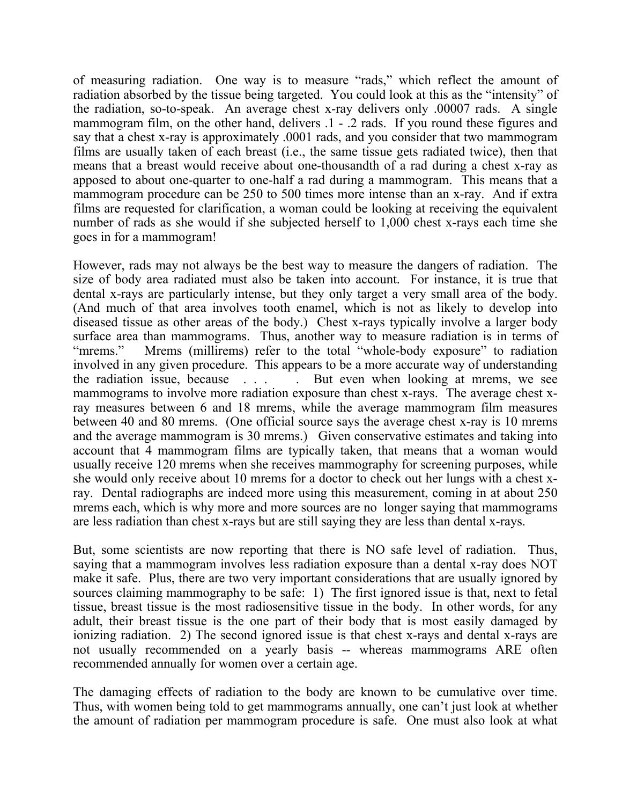of measuring radiation. One way is to measure "rads," which reflect the amount of radiation absorbed by the tissue being targeted. You could look at this as the "intensity" of the radiation, so-to-speak. An average chest x-ray delivers only .00007 rads. A single mammogram film, on the other hand, delivers .1 - .2 rads. If you round these figures and say that a chest x-ray is approximately .0001 rads, and you consider that two mammogram films are usually taken of each breast (i.e., the same tissue gets radiated twice), then that means that a breast would receive about one-thousandth of a rad during a chest x-ray as apposed to about one-quarter to one-half a rad during a mammogram. This means that a mammogram procedure can be 250 to 500 times more intense than an x-ray. And if extra films are requested for clarification, a woman could be looking at receiving the equivalent number of rads as she would if she subjected herself to 1,000 chest x-rays each time she goes in for a mammogram!

However, rads may not always be the best way to measure the dangers of radiation. The size of body area radiated must also be taken into account. For instance, it is true that dental x-rays are particularly intense, but they only target a very small area of the body. (And much of that area involves tooth enamel, which is not as likely to develop into diseased tissue as other areas of the body.) Chest x-rays typically involve a larger body surface area than mammograms. Thus, another way to measure radiation is in terms of "mrems." Mrems (millirems) refer to the total "whole-body exposure" to radiation involved in any given procedure. This appears to be a more accurate way of understanding the radiation issue, because . . . . But even when looking at mrems, we see mammograms to involve more radiation exposure than chest x-rays. The average chest xray measures between 6 and 18 mrems, while the average mammogram film measures between 40 and 80 mrems. (One official source says the average chest x-ray is 10 mrems and the average mammogram is 30 mrems.) Given conservative estimates and taking into account that 4 mammogram films are typically taken, that means that a woman would usually receive 120 mrems when she receives mammography for screening purposes, while she would only receive about 10 mrems for a doctor to check out her lungs with a chest xray. Dental radiographs are indeed more using this measurement, coming in at about 250 mrems each, which is why more and more sources are no longer saying that mammograms are less radiation than chest x-rays but are still saying they are less than dental x-rays.

But, some scientists are now reporting that there is NO safe level of radiation. Thus, saying that a mammogram involves less radiation exposure than a dental x-ray does NOT make it safe. Plus, there are two very important considerations that are usually ignored by sources claiming mammography to be safe: 1) The first ignored issue is that, next to fetal tissue, breast tissue is the most radiosensitive tissue in the body. In other words, for any adult, their breast tissue is the one part of their body that is most easily damaged by ionizing radiation. 2) The second ignored issue is that chest x-rays and dental x-rays are not usually recommended on a yearly basis -- whereas mammograms ARE often recommended annually for women over a certain age.

The damaging effects of radiation to the body are known to be cumulative over time. Thus, with women being told to get mammograms annually, one can't just look at whether the amount of radiation per mammogram procedure is safe. One must also look at what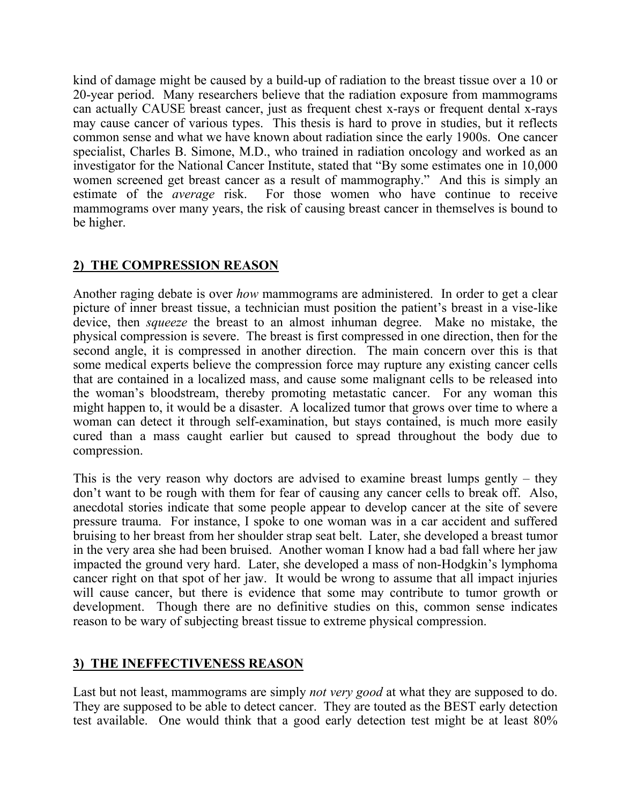kind of damage might be caused by a build-up of radiation to the breast tissue over a 10 or 20-year period. Many researchers believe that the radiation exposure from mammograms can actually CAUSE breast cancer, just as frequent chest x-rays or frequent dental x-rays may cause cancer of various types. This thesis is hard to prove in studies, but it reflects common sense and what we have known about radiation since the early 1900s. One cancer specialist, Charles B. Simone, M.D., who trained in radiation oncology and worked as an investigator for the National Cancer Institute, stated that "By some estimates one in 10,000 women screened get breast cancer as a result of mammography." And this is simply an estimate of the *average* risk. For those women who have continue to receive mammograms over many years, the risk of causing breast cancer in themselves is bound to be higher.

# **2) THE COMPRESSION REASON**

Another raging debate is over *how* mammograms are administered. In order to get a clear picture of inner breast tissue, a technician must position the patient's breast in a vise-like device, then *squeeze* the breast to an almost inhuman degree. Make no mistake, the physical compression is severe. The breast is first compressed in one direction, then for the second angle, it is compressed in another direction. The main concern over this is that some medical experts believe the compression force may rupture any existing cancer cells that are contained in a localized mass, and cause some malignant cells to be released into the woman's bloodstream, thereby promoting metastatic cancer. For any woman this might happen to, it would be a disaster. A localized tumor that grows over time to where a woman can detect it through self-examination, but stays contained, is much more easily cured than a mass caught earlier but caused to spread throughout the body due to compression.

This is the very reason why doctors are advised to examine breast lumps gently – they don't want to be rough with them for fear of causing any cancer cells to break off. Also, anecdotal stories indicate that some people appear to develop cancer at the site of severe pressure trauma. For instance, I spoke to one woman was in a car accident and suffered bruising to her breast from her shoulder strap seat belt. Later, she developed a breast tumor in the very area she had been bruised. Another woman I know had a bad fall where her jaw impacted the ground very hard. Later, she developed a mass of non-Hodgkin's lymphoma cancer right on that spot of her jaw. It would be wrong to assume that all impact injuries will cause cancer, but there is evidence that some may contribute to tumor growth or development. Though there are no definitive studies on this, common sense indicates reason to be wary of subjecting breast tissue to extreme physical compression.

## **3) THE INEFFECTIVENESS REASON**

Last but not least, mammograms are simply *not very good* at what they are supposed to do. They are supposed to be able to detect cancer. They are touted as the BEST early detection test available. One would think that a good early detection test might be at least 80%